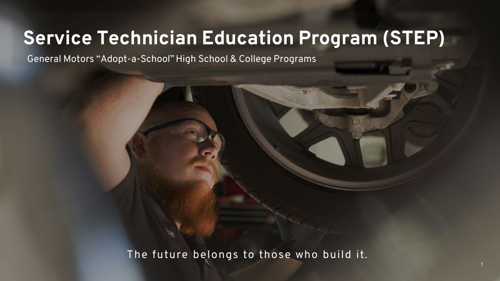# **Service Technician Education Program (STEP)**

General Motors "Adopt-a-School" High School & College Programs

The future belongs to those who build it.

 $\mathcal{C}(\mathcal{C})$  confidential GM  $\mathcal{C}(\mathcal{C})$  and  $\mathcal{C}(\mathcal{C})$  and  $\mathcal{C}(\mathcal{C})$  and  $\mathcal{C}(\mathcal{C})$  and  $\mathcal{C}(\mathcal{C})$  and  $\mathcal{C}(\mathcal{C})$  and  $\mathcal{C}(\mathcal{C})$  and  $\mathcal{C}(\mathcal{C})$  and  $\mathcal{C}(\mathcal{C})$  and  $\mathcal{C}(\mathcal{C})$  and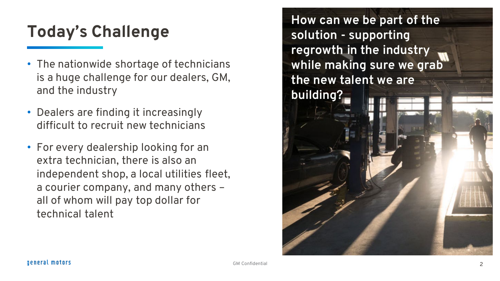## **Today's Challenge**

- The nationwide shortage of technicians is a huge challenge for our dealers, GM, and the industry
- Dealers are finding it increasingly difficult to recruit new technicians
- For every dealership looking for an extra technician, there is also an independent shop, a local utilities fleet, a courier company, and many others – all of whom will pay top dollar for technical talent

**How can we be part of the solution - supporting regrowth in the industry while making sure we grab the new talent we are building?**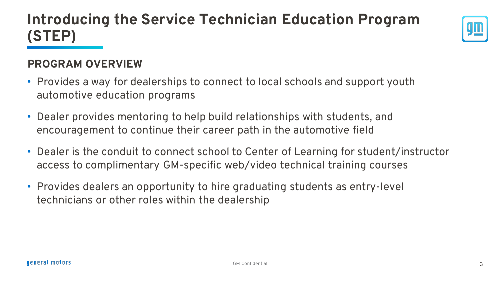### **Introducing the Service Technician Education Program (STEP)**

### **PROGRAM OVERVIEW**

- Provides a way for dealerships to connect to local schools and support youth automotive education programs
- Dealer provides mentoring to help build relationships with students, and encouragement to continue their career path in the automotive field
- Dealer is the conduit to connect school to Center of Learning for student/instructor access to complimentary GM-specific web/video technical training courses
- Provides dealers an opportunity to hire graduating students as entry-level technicians or other roles within the dealership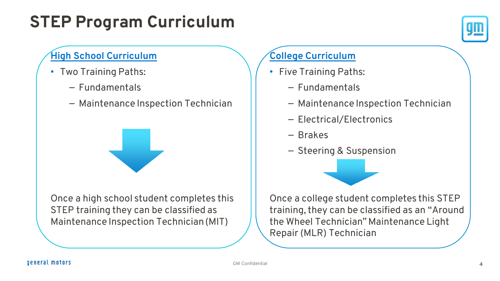## **STEP Program Curriculum**



### **High School Curriculum**

- Two Training Paths:
	- Fundamentals
	- Maintenance Inspection Technician

Once a high school student completes this STEP training they can be classified as Maintenance Inspection Technician (MIT)

### **College Curriculum**

- Five Training Paths:
	- Fundamentals
	- Maintenance Inspection Technician
	- Electrical/Electronics
	- Brakes
	- Steering & Suspension



Once a college student completes this STEP training, they can be classified as an "Around the Wheel Technician" Maintenance Light Repair (MLR) Technician

### general motors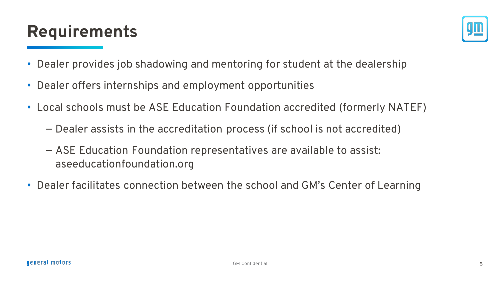### **Requirements**



- Dealer provides job shadowing and mentoring for student at the dealership
- Dealer offers internships and employment opportunities
- Local schools must be ASE Education Foundation accredited (formerly NATEF)
	- Dealer assists in the accreditation process (if school is not accredited)
	- ASE Education Foundation representatives are available to assist: aseeducationfoundation.org
- Dealer facilitates connection between the school and GM's Center of Learning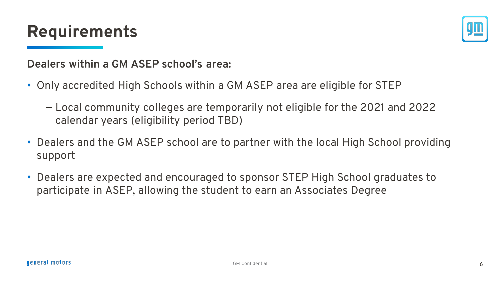### **Requirements**



### **Dealers within a GM ASEP school's area:**

- Only accredited High Schools within a GM ASEP area are eligible for STEP
	- Local community colleges are temporarily not eligible for the 2021 and 2022 calendar years (eligibility period TBD)
- Dealers and the GM ASEP school are to partner with the local High School providing support
- Dealers are expected and encouraged to sponsor STEP High School graduates to participate in ASEP, allowing the student to earn an Associates Degree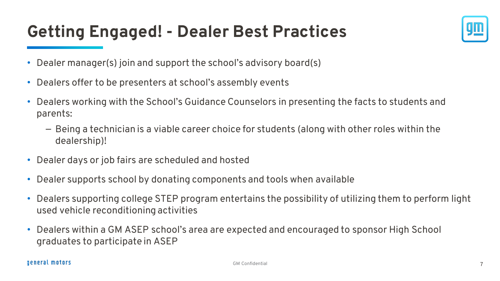### **Getting Engaged! - Dealer Best Practices**



- Dealer manager(s) join and support the school's advisory board(s)
- Dealers offer to be presenters at school's assembly events
- Dealers working with the School's Guidance Counselors in presenting the facts to students and parents:
	- Being a technician is a viable career choice for students (along with other roles within the dealership)!
- Dealer days or job fairs are scheduled and hosted
- Dealer supports school by donating components and tools when available
- Dealers supporting college STEP program entertains the possibility of utilizing them to perform light used vehicle reconditioning activities
- Dealers within a GM ASEP school's area are expected and encouraged to sponsor High School graduates to participate in ASEP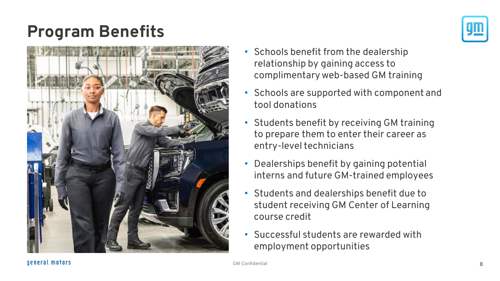### **Program Benefits**



- Schools benefit from the dealership relationship by gaining access to complimentary web-based GM training
- Schools are supported with component and tool donations
- Students benefit by receiving GM training to prepare them to enter their career as entry-level technicians
- Dealerships benefit by gaining potential interns and future GM-trained employees
- Students and dealerships benefit due to student receiving GM Center of Learning course credit
- Successful students are rewarded with employment opportunities

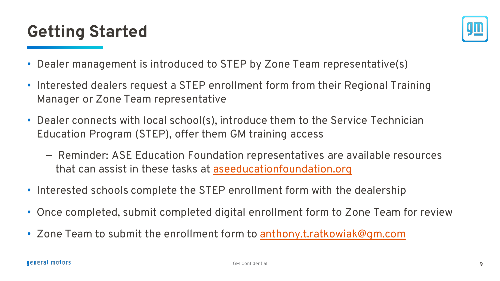## **Getting Started**



- Dealer management is introduced to STEP by Zone Team representative(s)
- Interested dealers request a STEP enrollment form from their Regional Training Manager or Zone Team representative
- Dealer connects with local school(s), introduce them to the Service Technician Education Program (STEP), offer them GM training access
	- Reminder: ASE Education Foundation representatives are available resources that can assist in these tasks at [aseeducationfoundation.org](http://www.aseeducationfoundation.org/)
- Interested schools complete the STEP enrollment form with the dealership
- Once completed, submit completed digital enrollment form to Zone Team for review
- Zone Team to submit the enrollment form to [anthony.t.ratkowiak@gm.com](mailto:anthony.t.ratkowiak@gm.com)